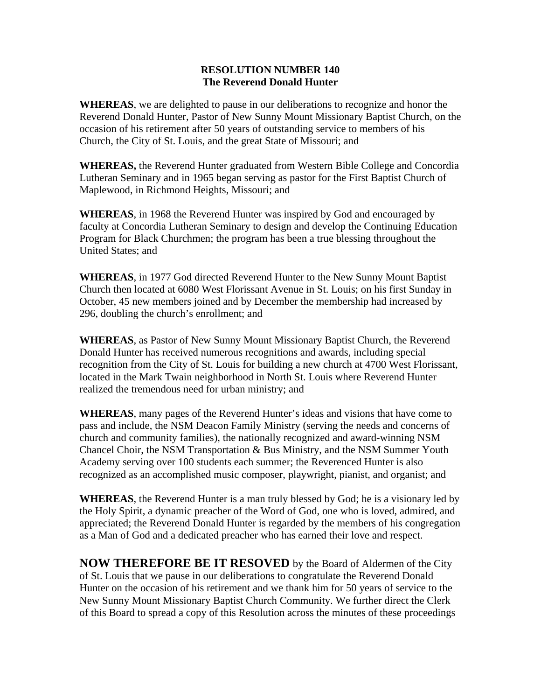## **RESOLUTION NUMBER 140 The Reverend Donald Hunter**

**WHEREAS**, we are delighted to pause in our deliberations to recognize and honor the Reverend Donald Hunter, Pastor of New Sunny Mount Missionary Baptist Church, on the occasion of his retirement after 50 years of outstanding service to members of his Church, the City of St. Louis, and the great State of Missouri; and

**WHEREAS,** the Reverend Hunter graduated from Western Bible College and Concordia Lutheran Seminary and in 1965 began serving as pastor for the First Baptist Church of Maplewood, in Richmond Heights, Missouri; and

**WHEREAS**, in 1968 the Reverend Hunter was inspired by God and encouraged by faculty at Concordia Lutheran Seminary to design and develop the Continuing Education Program for Black Churchmen; the program has been a true blessing throughout the United States; and

**WHEREAS**, in 1977 God directed Reverend Hunter to the New Sunny Mount Baptist Church then located at 6080 West Florissant Avenue in St. Louis; on his first Sunday in October, 45 new members joined and by December the membership had increased by 296, doubling the church's enrollment; and

**WHEREAS**, as Pastor of New Sunny Mount Missionary Baptist Church, the Reverend Donald Hunter has received numerous recognitions and awards, including special recognition from the City of St. Louis for building a new church at 4700 West Florissant, located in the Mark Twain neighborhood in North St. Louis where Reverend Hunter realized the tremendous need for urban ministry; and

**WHEREAS**, many pages of the Reverend Hunter's ideas and visions that have come to pass and include, the NSM Deacon Family Ministry (serving the needs and concerns of church and community families), the nationally recognized and award-winning NSM Chancel Choir, the NSM Transportation & Bus Ministry, and the NSM Summer Youth Academy serving over 100 students each summer; the Reverenced Hunter is also recognized as an accomplished music composer, playwright, pianist, and organist; and

**WHEREAS**, the Reverend Hunter is a man truly blessed by God; he is a visionary led by the Holy Spirit, a dynamic preacher of the Word of God, one who is loved, admired, and appreciated; the Reverend Donald Hunter is regarded by the members of his congregation as a Man of God and a dedicated preacher who has earned their love and respect.

**NOW THEREFORE BE IT RESOVED** by the Board of Aldermen of the City of St. Louis that we pause in our deliberations to congratulate the Reverend Donald Hunter on the occasion of his retirement and we thank him for 50 years of service to the New Sunny Mount Missionary Baptist Church Community. We further direct the Clerk of this Board to spread a copy of this Resolution across the minutes of these proceedings